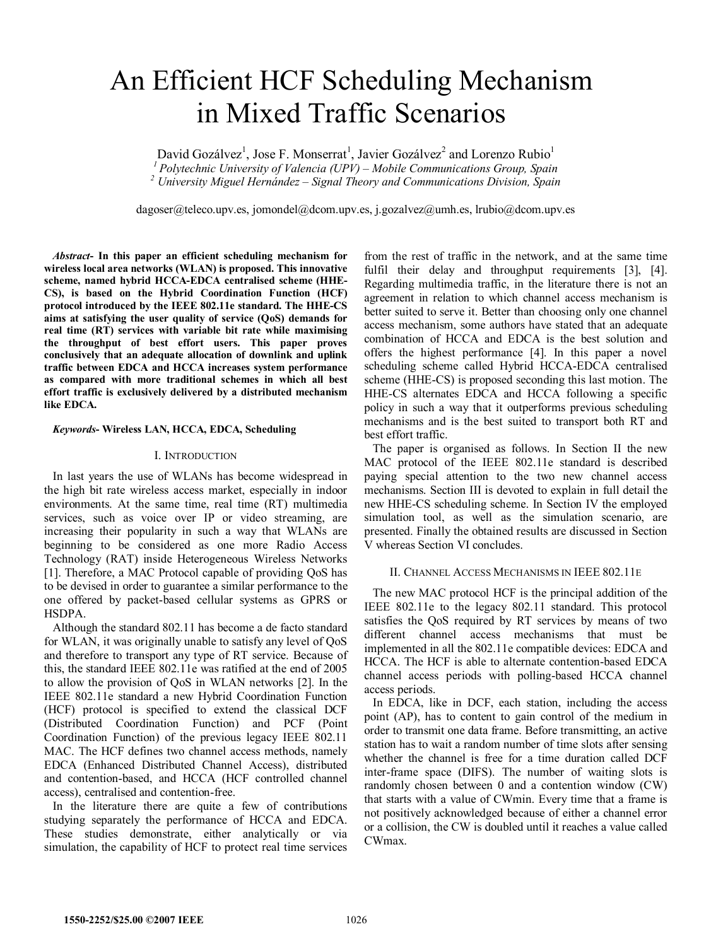# An Efficient HCF Scheduling Mechanism in Mixed Traffic Scenarios

David Gozálvez<sup>1</sup>, Jose F. Monserrat<sup>1</sup>, Javier Gozálvez<sup>2</sup> and Lorenzo Rubio<sup>1</sup> <sup>1</sup> Polytechnic University of Valencia (UPV) – Mobile Communications Group, Spain  *University Miguel Hernández – Signal Theory and Communications Division, Spain* 

dagoser@teleco.upv.es, jomondel@dcom.upv.es, j.gozalvez@umh.es, lrubio@dcom.upv.es

*Abstract***- In this paper an efficient scheduling mechanism for wireless local area networks (WLAN) is proposed. This innovative scheme, named hybrid HCCA-EDCA centralised scheme (HHE-CS), is based on the Hybrid Coordination Function (HCF) protocol introduced by the IEEE 802.11e standard. The HHE-CS aims at satisfying the user quality of service (QoS) demands for real time (RT) services with variable bit rate while maximising the throughput of best effort users. This paper proves conclusively that an adequate allocation of downlink and uplink traffic between EDCA and HCCA increases system performance as compared with more traditional schemes in which all best effort traffic is exclusively delivered by a distributed mechanism like EDCA.** 

### *Keywords***- Wireless LAN, HCCA, EDCA, Scheduling**

#### I. INTRODUCTION

In last years the use of WLANs has become widespread in the high bit rate wireless access market, especially in indoor environments. At the same time, real time (RT) multimedia services, such as voice over IP or video streaming, are increasing their popularity in such a way that WLANs are beginning to be considered as one more Radio Access Technology (RAT) inside Heterogeneous Wireless Networks [1]. Therefore, a MAC Protocol capable of providing QoS has to be devised in order to guarantee a similar performance to the one offered by packet-based cellular systems as GPRS or HSDPA.

Although the standard 802.11 has become a de facto standard for WLAN, it was originally unable to satisfy any level of QoS and therefore to transport any type of RT service. Because of this, the standard IEEE 802.11e was ratified at the end of 2005 to allow the provision of QoS in WLAN networks [2]. In the IEEE 802.11e standard a new Hybrid Coordination Function (HCF) protocol is specified to extend the classical DCF (Distributed Coordination Function) and PCF (Point Coordination Function) of the previous legacy IEEE 802.11 MAC. The HCF defines two channel access methods, namely EDCA (Enhanced Distributed Channel Access), distributed and contention-based, and HCCA (HCF controlled channel access), centralised and contention-free.

In the literature there are quite a few of contributions studying separately the performance of HCCA and EDCA. These studies demonstrate, either analytically or via simulation, the capability of HCF to protect real time services

from the rest of traffic in the network, and at the same time fulfil their delay and throughput requirements [3], [4]. Regarding multimedia traffic, in the literature there is not an agreement in relation to which channel access mechanism is better suited to serve it. Better than choosing only one channel access mechanism, some authors have stated that an adequate combination of HCCA and EDCA is the best solution and offers the highest performance [4]. In this paper a novel scheduling scheme called Hybrid HCCA-EDCA centralised scheme (HHE-CS) is proposed seconding this last motion. The HHE-CS alternates EDCA and HCCA following a specific policy in such a way that it outperforms previous scheduling mechanisms and is the best suited to transport both RT and best effort traffic.

The paper is organised as follows. In Section II the new MAC protocol of the IEEE 802.11e standard is described paying special attention to the two new channel access mechanisms. Section III is devoted to explain in full detail the new HHE-CS scheduling scheme. In Section IV the employed simulation tool, as well as the simulation scenario, are presented. Finally the obtained results are discussed in Section V whereas Section VI concludes.

## II. CHANNEL ACCESS MECHANISMS IN IEEE 802.11E

The new MAC protocol HCF is the principal addition of the IEEE 802.11e to the legacy 802.11 standard. This protocol satisfies the QoS required by RT services by means of two different channel access mechanisms that must be implemented in all the 802.11e compatible devices: EDCA and HCCA. The HCF is able to alternate contention-based EDCA channel access periods with polling-based HCCA channel access periods.

In EDCA, like in DCF, each station, including the access point (AP), has to content to gain control of the medium in order to transmit one data frame. Before transmitting, an active station has to wait a random number of time slots after sensing whether the channel is free for a time duration called DCF inter-frame space (DIFS). The number of waiting slots is randomly chosen between 0 and a contention window (CW) that starts with a value of CWmin. Every time that a frame is not positively acknowledged because of either a channel error or a collision, the CW is doubled until it reaches a value called CWmax.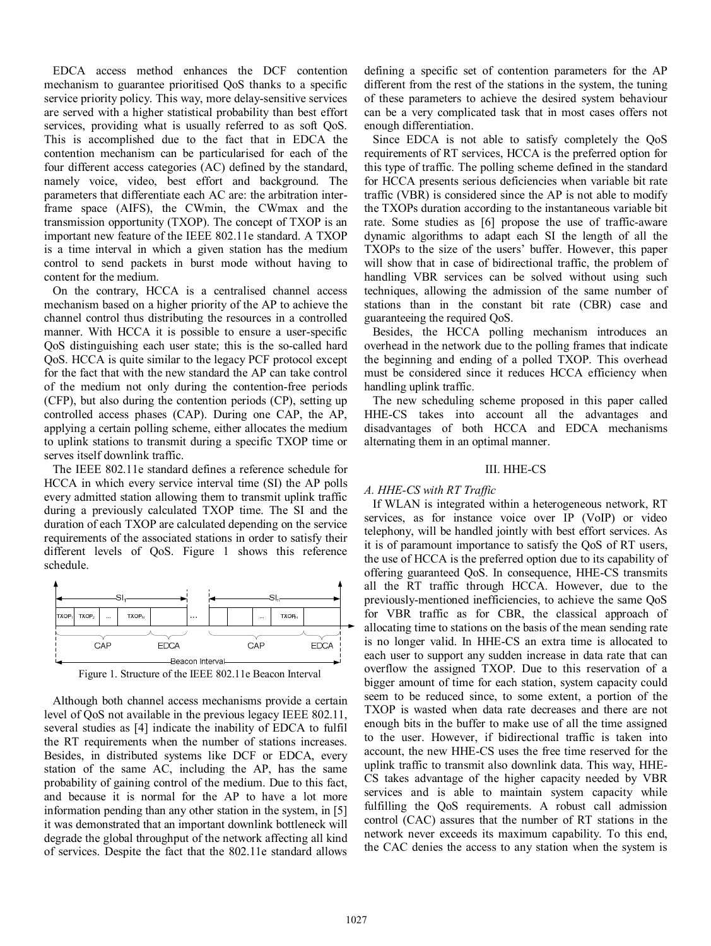EDCA access method enhances the DCF contention mechanism to guarantee prioritised QoS thanks to a specific service priority policy. This way, more delay-sensitive services are served with a higher statistical probability than best effort services, providing what is usually referred to as soft QoS. This is accomplished due to the fact that in EDCA the contention mechanism can be particularised for each of the four different access categories (AC) defined by the standard, namely voice, video, best effort and background. The parameters that differentiate each AC are: the arbitration interframe space (AIFS), the CWmin, the CWmax and the transmission opportunity (TXOP). The concept of TXOP is an important new feature of the IEEE 802.11e standard. A TXOP is a time interval in which a given station has the medium control to send packets in burst mode without having to content for the medium.

On the contrary, HCCA is a centralised channel access mechanism based on a higher priority of the AP to achieve the channel control thus distributing the resources in a controlled manner. With HCCA it is possible to ensure a user-specific QoS distinguishing each user state; this is the so-called hard QoS. HCCA is quite similar to the legacy PCF protocol except for the fact that with the new standard the AP can take control of the medium not only during the contention-free periods (CFP), but also during the contention periods (CP), setting up controlled access phases (CAP). During one CAP, the AP, applying a certain polling scheme, either allocates the medium to uplink stations to transmit during a specific TXOP time or serves itself downlink traffic.

The IEEE 802.11e standard defines a reference schedule for HCCA in which every service interval time (SI) the AP polls every admitted station allowing them to transmit uplink traffic during a previously calculated TXOP time. The SI and the duration of each TXOP are calculated depending on the service requirements of the associated stations in order to satisfy their different levels of QoS. Figure 1 shows this reference schedule.



Figure 1. Structure of the IEEE 802.11e Beacon Interval

Although both channel access mechanisms provide a certain level of QoS not available in the previous legacy IEEE 802.11, several studies as [4] indicate the inability of EDCA to fulfil the RT requirements when the number of stations increases. Besides, in distributed systems like DCF or EDCA, every station of the same AC, including the AP, has the same probability of gaining control of the medium. Due to this fact, and because it is normal for the AP to have a lot more information pending than any other station in the system, in [5] it was demonstrated that an important downlink bottleneck will degrade the global throughput of the network affecting all kind of services. Despite the fact that the 802.11e standard allows defining a specific set of contention parameters for the AP different from the rest of the stations in the system, the tuning of these parameters to achieve the desired system behaviour can be a very complicated task that in most cases offers not enough differentiation.

Since EDCA is not able to satisfy completely the QoS requirements of RT services, HCCA is the preferred option for this type of traffic. The polling scheme defined in the standard for HCCA presents serious deficiencies when variable bit rate traffic (VBR) is considered since the AP is not able to modify the TXOPs duration according to the instantaneous variable bit rate. Some studies as [6] propose the use of traffic-aware dynamic algorithms to adapt each SI the length of all the TXOPs to the size of the users' buffer. However, this paper will show that in case of bidirectional traffic, the problem of handling VBR services can be solved without using such techniques, allowing the admission of the same number of stations than in the constant bit rate (CBR) case and guaranteeing the required QoS.

Besides, the HCCA polling mechanism introduces an overhead in the network due to the polling frames that indicate the beginning and ending of a polled TXOP. This overhead must be considered since it reduces HCCA efficiency when handling uplink traffic.

The new scheduling scheme proposed in this paper called HHE-CS takes into account all the advantages and disadvantages of both HCCA and EDCA mechanisms alternating them in an optimal manner.

## III. HHE-CS

# *A. HHE-CS with RT Traffic*

If WLAN is integrated within a heterogeneous network, RT services, as for instance voice over IP (VoIP) or video telephony, will be handled jointly with best effort services. As it is of paramount importance to satisfy the QoS of RT users, the use of HCCA is the preferred option due to its capability of offering guaranteed QoS. In consequence, HHE-CS transmits all the RT traffic through HCCA. However, due to the previously-mentioned inefficiencies, to achieve the same QoS for VBR traffic as for CBR, the classical approach of allocating time to stations on the basis of the mean sending rate is no longer valid. In HHE-CS an extra time is allocated to each user to support any sudden increase in data rate that can overflow the assigned TXOP. Due to this reservation of a bigger amount of time for each station, system capacity could seem to be reduced since, to some extent, a portion of the TXOP is wasted when data rate decreases and there are not enough bits in the buffer to make use of all the time assigned to the user. However, if bidirectional traffic is taken into account, the new HHE-CS uses the free time reserved for the uplink traffic to transmit also downlink data. This way, HHE-CS takes advantage of the higher capacity needed by VBR services and is able to maintain system capacity while fulfilling the QoS requirements. A robust call admission control (CAC) assures that the number of RT stations in the network never exceeds its maximum capability. To this end, the CAC denies the access to any station when the system is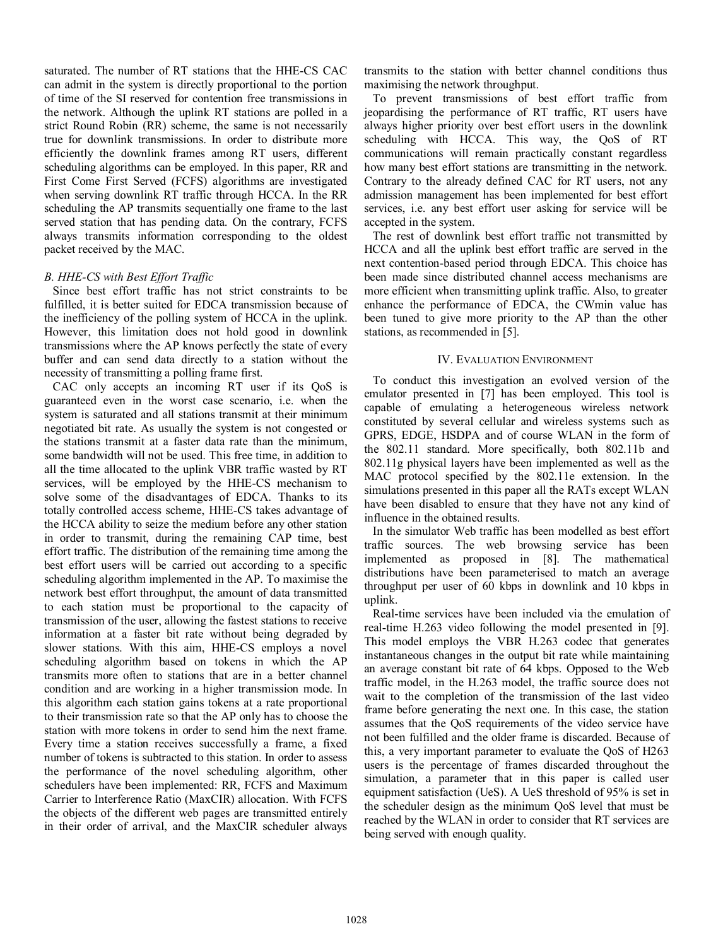saturated. The number of RT stations that the HHE-CS CAC can admit in the system is directly proportional to the portion of time of the SI reserved for contention free transmissions in the network. Although the uplink RT stations are polled in a strict Round Robin (RR) scheme, the same is not necessarily true for downlink transmissions. In order to distribute more efficiently the downlink frames among RT users, different scheduling algorithms can be employed. In this paper, RR and First Come First Served (FCFS) algorithms are investigated when serving downlink RT traffic through HCCA. In the RR scheduling the AP transmits sequentially one frame to the last served station that has pending data. On the contrary, FCFS always transmits information corresponding to the oldest packet received by the MAC.

# *B. HHE-CS with Best Effort Traffic*

Since best effort traffic has not strict constraints to be fulfilled, it is better suited for EDCA transmission because of the inefficiency of the polling system of HCCA in the uplink. However, this limitation does not hold good in downlink transmissions where the AP knows perfectly the state of every buffer and can send data directly to a station without the necessity of transmitting a polling frame first.

CAC only accepts an incoming RT user if its QoS is guaranteed even in the worst case scenario, i.e. when the system is saturated and all stations transmit at their minimum negotiated bit rate. As usually the system is not congested or the stations transmit at a faster data rate than the minimum, some bandwidth will not be used. This free time, in addition to all the time allocated to the uplink VBR traffic wasted by RT services, will be employed by the HHE-CS mechanism to solve some of the disadvantages of EDCA. Thanks to its totally controlled access scheme, HHE-CS takes advantage of the HCCA ability to seize the medium before any other station in order to transmit, during the remaining CAP time, best effort traffic. The distribution of the remaining time among the best effort users will be carried out according to a specific scheduling algorithm implemented in the AP. To maximise the network best effort throughput, the amount of data transmitted to each station must be proportional to the capacity of transmission of the user, allowing the fastest stations to receive information at a faster bit rate without being degraded by slower stations. With this aim, HHE-CS employs a novel scheduling algorithm based on tokens in which the AP transmits more often to stations that are in a better channel condition and are working in a higher transmission mode. In this algorithm each station gains tokens at a rate proportional to their transmission rate so that the AP only has to choose the station with more tokens in order to send him the next frame. Every time a station receives successfully a frame, a fixed number of tokens is subtracted to this station. In order to assess the performance of the novel scheduling algorithm, other schedulers have been implemented: RR, FCFS and Maximum Carrier to Interference Ratio (MaxCIR) allocation. With FCFS the objects of the different web pages are transmitted entirely in their order of arrival, and the MaxCIR scheduler always

transmits to the station with better channel conditions thus maximising the network throughput.

To prevent transmissions of best effort traffic from jeopardising the performance of RT traffic, RT users have always higher priority over best effort users in the downlink scheduling with HCCA. This way, the QoS of RT communications will remain practically constant regardless how many best effort stations are transmitting in the network. Contrary to the already defined CAC for RT users, not any admission management has been implemented for best effort services, i.e. any best effort user asking for service will be accepted in the system.

The rest of downlink best effort traffic not transmitted by HCCA and all the uplink best effort traffic are served in the next contention-based period through EDCA. This choice has been made since distributed channel access mechanisms are more efficient when transmitting uplink traffic. Also, to greater enhance the performance of EDCA, the CWmin value has been tuned to give more priority to the AP than the other stations, as recommended in [5].

## IV. EVALUATION ENVIRONMENT

To conduct this investigation an evolved version of the emulator presented in [7] has been employed. This tool is capable of emulating a heterogeneous wireless network constituted by several cellular and wireless systems such as GPRS, EDGE, HSDPA and of course WLAN in the form of the 802.11 standard. More specifically, both 802.11b and 802.11g physical layers have been implemented as well as the MAC protocol specified by the 802.11e extension. In the simulations presented in this paper all the RATs except WLAN have been disabled to ensure that they have not any kind of influence in the obtained results.

In the simulator Web traffic has been modelled as best effort traffic sources. The web browsing service has been implemented as proposed in [8]. The mathematical distributions have been parameterised to match an average throughput per user of 60 kbps in downlink and 10 kbps in uplink.

Real-time services have been included via the emulation of real-time H.263 video following the model presented in [9]. This model employs the VBR H.263 codec that generates instantaneous changes in the output bit rate while maintaining an average constant bit rate of 64 kbps. Opposed to the Web traffic model, in the H.263 model, the traffic source does not wait to the completion of the transmission of the last video frame before generating the next one. In this case, the station assumes that the QoS requirements of the video service have not been fulfilled and the older frame is discarded. Because of this, a very important parameter to evaluate the QoS of H263 users is the percentage of frames discarded throughout the simulation, a parameter that in this paper is called user equipment satisfaction (UeS). A UeS threshold of 95% is set in the scheduler design as the minimum QoS level that must be reached by the WLAN in order to consider that RT services are being served with enough quality.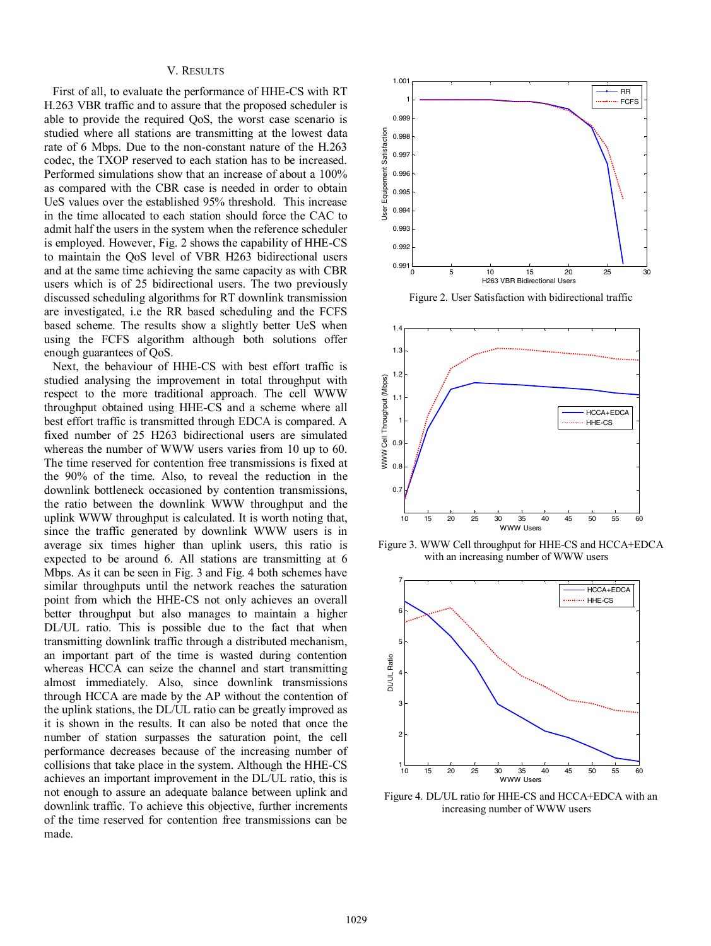#### V. RESULTS

First of all, to evaluate the performance of HHE-CS with RT H.263 VBR traffic and to assure that the proposed scheduler is able to provide the required QoS, the worst case scenario is studied where all stations are transmitting at the lowest data rate of 6 Mbps. Due to the non-constant nature of the H.263 codec, the TXOP reserved to each station has to be increased. Performed simulations show that an increase of about a 100% as compared with the CBR case is needed in order to obtain UeS values over the established 95% threshold. This increase in the time allocated to each station should force the CAC to admit half the users in the system when the reference scheduler is employed. However, Fig. 2 shows the capability of HHE-CS to maintain the QoS level of VBR H263 bidirectional users and at the same time achieving the same capacity as with CBR users which is of 25 bidirectional users. The two previously discussed scheduling algorithms for RT downlink transmission are investigated, i.e the RR based scheduling and the FCFS based scheme. The results show a slightly better UeS when using the FCFS algorithm although both solutions offer enough guarantees of QoS.

Next, the behaviour of HHE-CS with best effort traffic is studied analysing the improvement in total throughput with respect to the more traditional approach. The cell WWW throughput obtained using HHE-CS and a scheme where all best effort traffic is transmitted through EDCA is compared. A fixed number of 25 H263 bidirectional users are simulated whereas the number of WWW users varies from 10 up to 60. The time reserved for contention free transmissions is fixed at the 90% of the time. Also, to reveal the reduction in the downlink bottleneck occasioned by contention transmissions, the ratio between the downlink WWW throughput and the uplink WWW throughput is calculated. It is worth noting that, since the traffic generated by downlink WWW users is in average six times higher than uplink users, this ratio is expected to be around 6. All stations are transmitting at 6 Mbps. As it can be seen in Fig. 3 and Fig. 4 both schemes have similar throughputs until the network reaches the saturation point from which the HHE-CS not only achieves an overall better throughput but also manages to maintain a higher DL/UL ratio. This is possible due to the fact that when transmitting downlink traffic through a distributed mechanism, an important part of the time is wasted during contention whereas HCCA can seize the channel and start transmitting almost immediately. Also, since downlink transmissions through HCCA are made by the AP without the contention of the uplink stations, the DL/UL ratio can be greatly improved as it is shown in the results. It can also be noted that once the number of station surpasses the saturation point, the cell performance decreases because of the increasing number of collisions that take place in the system. Although the HHE-CS achieves an important improvement in the DL/UL ratio, this is not enough to assure an adequate balance between uplink and downlink traffic. To achieve this objective, further increments of the time reserved for contention free transmissions can be made.



Figure 2. User Satisfaction with bidirectional traffic



Figure 3. WWW Cell throughput for HHE-CS and HCCA+EDCA with an increasing number of WWW users



Figure 4. DL/UL ratio for HHE-CS and HCCA+EDCA with an increasing number of WWW users